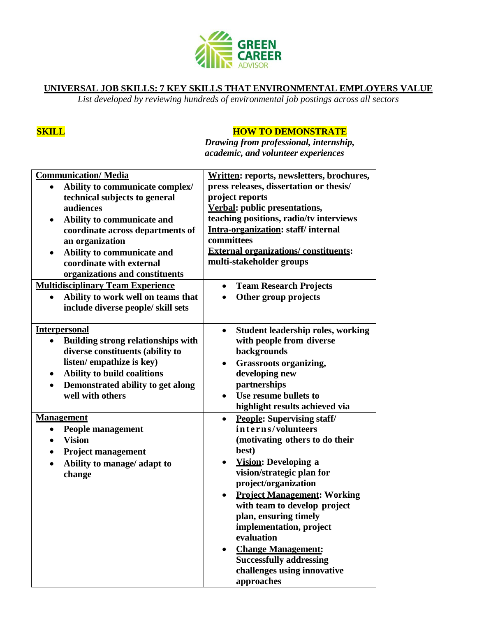

### **UNIVERSAL JOB SKILLS: 7 KEY SKILLS THAT ENVIRONMENTAL EMPLOYERS VALUE**

*List developed by reviewing hundreds of environmental job postings across all sectors*

## **SKILL HOW TO DEMONSTRATE**

*Drawing from professional, internship, academic, and volunteer experiences*

| <b>Communication/Media</b><br>Ability to communicate complex/<br>technical subjects to general<br>audiences<br>Ability to communicate and<br>coordinate across departments of<br>an organization<br>Ability to communicate and<br>coordinate with external | Written: reports, newsletters, brochures,<br>press releases, dissertation or thesis/<br>project reports<br><b>Verbal:</b> public presentations,<br>teaching positions, radio/tv interviews<br>Intra-organization: staff/internal<br>committees<br><b>External organizations/constituents:</b><br>multi-stakeholder groups                                                                                                                                                         |
|------------------------------------------------------------------------------------------------------------------------------------------------------------------------------------------------------------------------------------------------------------|-----------------------------------------------------------------------------------------------------------------------------------------------------------------------------------------------------------------------------------------------------------------------------------------------------------------------------------------------------------------------------------------------------------------------------------------------------------------------------------|
| organizations and constituents<br><b>Multidisciplinary Team Experience</b><br>Ability to work well on teams that<br>include diverse people/ skill sets                                                                                                     | <b>Team Research Projects</b><br>$\bullet$<br>Other group projects<br>$\bullet$                                                                                                                                                                                                                                                                                                                                                                                                   |
| <b>Interpersonal</b><br><b>Building strong relationships with</b><br>$\bullet$<br>diverse constituents (ability to<br>listen/empathize is key)<br>Ability to build coalitions<br>٠<br>Demonstrated ability to get along<br>$\bullet$<br>well with others   | <b>Student leadership roles, working</b><br>$\bullet$<br>with people from diverse<br>backgrounds<br><b>Grassroots organizing,</b><br>$\bullet$<br>developing new<br>partnerships<br>Use resume bullets to<br>$\bullet$<br>highlight results achieved via                                                                                                                                                                                                                          |
| <b>Management</b><br><b>People management</b><br>$\bullet$<br><b>Vision</b><br>$\bullet$<br><b>Project management</b><br>٠<br>Ability to manage/ adapt to<br>$\bullet$<br>change                                                                           | <b>People: Supervising staff/</b><br>$\bullet$<br>interns/volunteers<br>(motivating others to do their<br>best)<br><b>Vision: Developing a</b><br>$\bullet$<br>vision/strategic plan for<br>project/organization<br><b>Project Management: Working</b><br>$\bullet$<br>with team to develop project<br>plan, ensuring timely<br>implementation, project<br>evaluation<br><b>Change Management:</b><br><b>Successfully addressing</b><br>challenges using innovative<br>approaches |